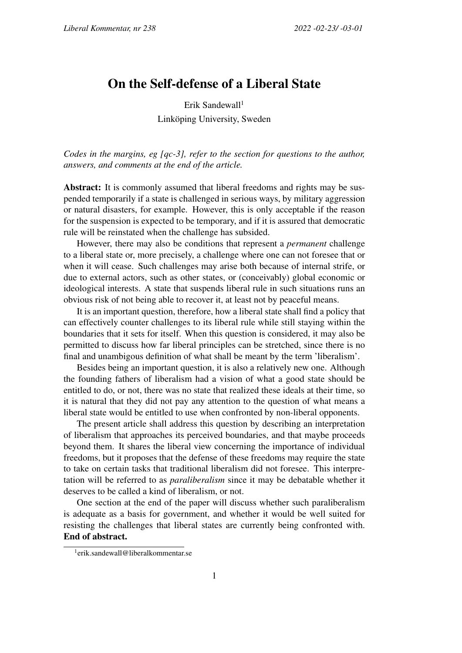## On the Self-defense of a Liberal State

Erik Sandewall<sup>1</sup> Linköping University, Sweden

*Codes in the margins, eg [qc-3], refer to the section for questions to the author, answers, and comments at the end of the article.*

Abstract: It is commonly assumed that liberal freedoms and rights may be suspended temporarily if a state is challenged in serious ways, by military aggression or natural disasters, for example. However, this is only acceptable if the reason for the suspension is expected to be temporary, and if it is assured that democratic rule will be reinstated when the challenge has subsided.

However, there may also be conditions that represent a *permanent* challenge to a liberal state or, more precisely, a challenge where one can not foresee that or when it will cease. Such challenges may arise both because of internal strife, or due to external actors, such as other states, or (conceivably) global economic or ideological interests. A state that suspends liberal rule in such situations runs an obvious risk of not being able to recover it, at least not by peaceful means.

It is an important question, therefore, how a liberal state shall find a policy that can effectively counter challenges to its liberal rule while still staying within the boundaries that it sets for itself. When this question is considered, it may also be permitted to discuss how far liberal principles can be stretched, since there is no final and unambigous definition of what shall be meant by the term 'liberalism'.

Besides being an important question, it is also a relatively new one. Although the founding fathers of liberalism had a vision of what a good state should be entitled to do, or not, there was no state that realized these ideals at their time, so it is natural that they did not pay any attention to the question of what means a liberal state would be entitled to use when confronted by non-liberal opponents.

The present article shall address this question by describing an interpretation of liberalism that approaches its perceived boundaries, and that maybe proceeds beyond them. It shares the liberal view concerning the importance of individual freedoms, but it proposes that the defense of these freedoms may require the state to take on certain tasks that traditional liberalism did not foresee. This interpretation will be referred to as *paraliberalism* since it may be debatable whether it deserves to be called a kind of liberalism, or not.

One section at the end of the paper will discuss whether such paraliberalism is adequate as a basis for government, and whether it would be well suited for resisting the challenges that liberal states are currently being confronted with. End of abstract.

<sup>1</sup> erik.sandewall@liberalkommentar.se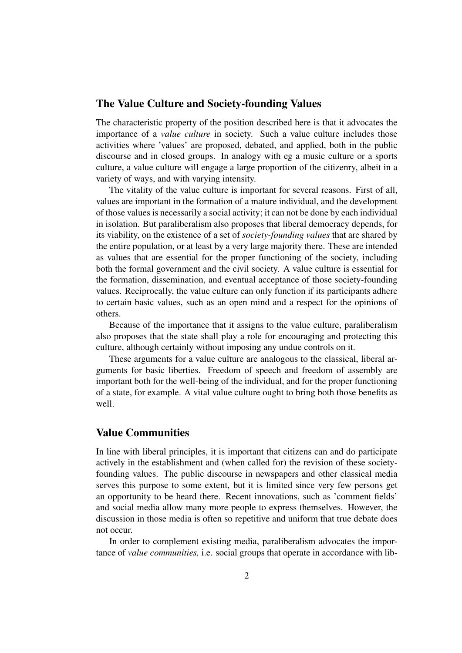#### The Value Culture and Society-founding Values

The characteristic property of the position described here is that it advocates the importance of a *value culture* in society. Such a value culture includes those activities where 'values' are proposed, debated, and applied, both in the public discourse and in closed groups. In analogy with eg a music culture or a sports culture, a value culture will engage a large proportion of the citizenry, albeit in a variety of ways, and with varying intensity.

The vitality of the value culture is important for several reasons. First of all, values are important in the formation of a mature individual, and the development of those values is necessarily a social activity; it can not be done by each individual in isolation. But paraliberalism also proposes that liberal democracy depends, for its viability, on the existence of a set of *society-founding values* that are shared by the entire population, or at least by a very large majority there. These are intended as values that are essential for the proper functioning of the society, including both the formal government and the civil society. A value culture is essential for the formation, dissemination, and eventual acceptance of those society-founding values. Reciprocally, the value culture can only function if its participants adhere to certain basic values, such as an open mind and a respect for the opinions of others.

Because of the importance that it assigns to the value culture, paraliberalism also proposes that the state shall play a role for encouraging and protecting this culture, although certainly without imposing any undue controls on it.

These arguments for a value culture are analogous to the classical, liberal arguments for basic liberties. Freedom of speech and freedom of assembly are important both for the well-being of the individual, and for the proper functioning of a state, for example. A vital value culture ought to bring both those benefits as well.

## Value Communities

In line with liberal principles, it is important that citizens can and do participate actively in the establishment and (when called for) the revision of these societyfounding values. The public discourse in newspapers and other classical media serves this purpose to some extent, but it is limited since very few persons get an opportunity to be heard there. Recent innovations, such as 'comment fields' and social media allow many more people to express themselves. However, the discussion in those media is often so repetitive and uniform that true debate does not occur.

In order to complement existing media, paraliberalism advocates the importance of *value communities,* i.e. social groups that operate in accordance with lib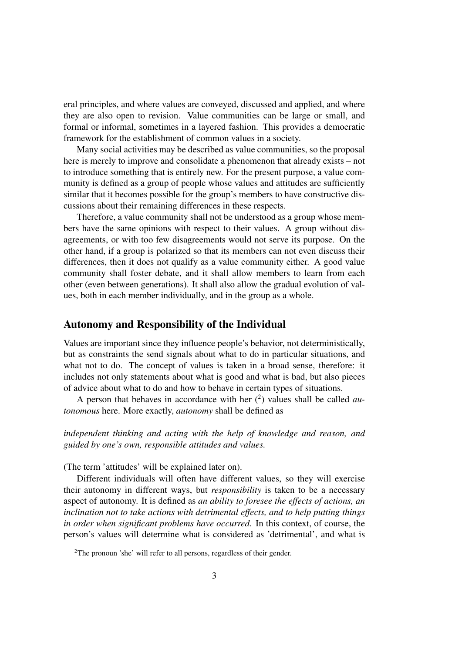eral principles, and where values are conveyed, discussed and applied, and where they are also open to revision. Value communities can be large or small, and formal or informal, sometimes in a layered fashion. This provides a democratic framework for the establishment of common values in a society.

Many social activities may be described as value communities, so the proposal here is merely to improve and consolidate a phenomenon that already exists – not to introduce something that is entirely new. For the present purpose, a value community is defined as a group of people whose values and attitudes are sufficiently similar that it becomes possible for the group's members to have constructive discussions about their remaining differences in these respects.

Therefore, a value community shall not be understood as a group whose members have the same opinions with respect to their values. A group without disagreements, or with too few disagreements would not serve its purpose. On the other hand, if a group is polarized so that its members can not even discuss their differences, then it does not qualify as a value community either. A good value community shall foster debate, and it shall allow members to learn from each other (even between generations). It shall also allow the gradual evolution of values, both in each member individually, and in the group as a whole.

#### Autonomy and Responsibility of the Individual

Values are important since they influence people's behavior, not deterministically, but as constraints the send signals about what to do in particular situations, and what not to do. The concept of values is taken in a broad sense, therefore: it includes not only statements about what is good and what is bad, but also pieces of advice about what to do and how to behave in certain types of situations.

A person that behaves in accordance with her  $(2)$  values shall be called *autonomous* here. More exactly, *autonomy* shall be defined as

*independent thinking and acting with the help of knowledge and reason, and guided by one's own, responsible attitudes and values.*

(The term 'attitudes' will be explained later on).

Different individuals will often have different values, so they will exercise their autonomy in different ways, but *responsibility* is taken to be a necessary aspect of autonomy. It is defined as *an ability to foresee the effects of actions, an inclination not to take actions with detrimental effects, and to help putting things in order when significant problems have occurred.* In this context, of course, the person's values will determine what is considered as 'detrimental', and what is

<sup>2</sup>The pronoun 'she' will refer to all persons, regardless of their gender.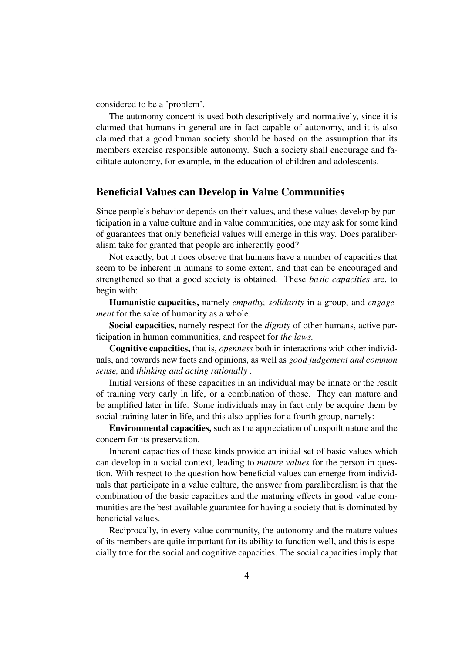considered to be a 'problem'.

The autonomy concept is used both descriptively and normatively, since it is claimed that humans in general are in fact capable of autonomy, and it is also claimed that a good human society should be based on the assumption that its members exercise responsible autonomy. Such a society shall encourage and facilitate autonomy, for example, in the education of children and adolescents.

#### Beneficial Values can Develop in Value Communities

Since people's behavior depends on their values, and these values develop by participation in a value culture and in value communities, one may ask for some kind of guarantees that only beneficial values will emerge in this way. Does paraliberalism take for granted that people are inherently good?

Not exactly, but it does observe that humans have a number of capacities that seem to be inherent in humans to some extent, and that can be encouraged and strengthened so that a good society is obtained. These *basic capacities* are, to begin with:

Humanistic capacities, namely *empathy, solidarity* in a group, and *engagement* for the sake of humanity as a whole.

Social capacities, namely respect for the *dignity* of other humans, active participation in human communities, and respect for *the laws.*

Cognitive capacities, that is, *openness* both in interactions with other individuals, and towards new facts and opinions, as well as *good judgement and common sense,* and *thinking and acting rationally* .

Initial versions of these capacities in an individual may be innate or the result of training very early in life, or a combination of those. They can mature and be amplified later in life. Some individuals may in fact only be acquire them by social training later in life, and this also applies for a fourth group, namely:

Environmental capacities, such as the appreciation of unspoilt nature and the concern for its preservation.

Inherent capacities of these kinds provide an initial set of basic values which can develop in a social context, leading to *mature values* for the person in question. With respect to the question how beneficial values can emerge from individuals that participate in a value culture, the answer from paraliberalism is that the combination of the basic capacities and the maturing effects in good value communities are the best available guarantee for having a society that is dominated by beneficial values.

Reciprocally, in every value community, the autonomy and the mature values of its members are quite important for its ability to function well, and this is especially true for the social and cognitive capacities. The social capacities imply that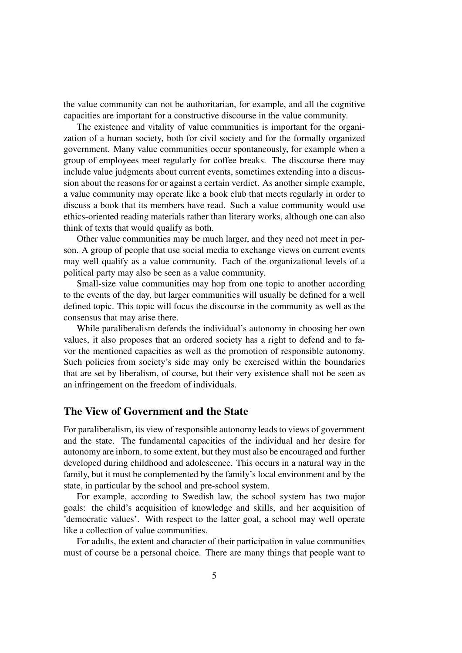the value community can not be authoritarian, for example, and all the cognitive capacities are important for a constructive discourse in the value community.

The existence and vitality of value communities is important for the organization of a human society, both for civil society and for the formally organized government. Many value communities occur spontaneously, for example when a group of employees meet regularly for coffee breaks. The discourse there may include value judgments about current events, sometimes extending into a discussion about the reasons for or against a certain verdict. As another simple example, a value community may operate like a book club that meets regularly in order to discuss a book that its members have read. Such a value community would use ethics-oriented reading materials rather than literary works, although one can also think of texts that would qualify as both.

Other value communities may be much larger, and they need not meet in person. A group of people that use social media to exchange views on current events may well qualify as a value community. Each of the organizational levels of a political party may also be seen as a value community.

Small-size value communities may hop from one topic to another according to the events of the day, but larger communities will usually be defined for a well defined topic. This topic will focus the discourse in the community as well as the consensus that may arise there.

While paraliberalism defends the individual's autonomy in choosing her own values, it also proposes that an ordered society has a right to defend and to favor the mentioned capacities as well as the promotion of responsible autonomy. Such policies from society's side may only be exercised within the boundaries that are set by liberalism, of course, but their very existence shall not be seen as an infringement on the freedom of individuals.

## The View of Government and the State

For paraliberalism, its view of responsible autonomy leads to views of government and the state. The fundamental capacities of the individual and her desire for autonomy are inborn, to some extent, but they must also be encouraged and further developed during childhood and adolescence. This occurs in a natural way in the family, but it must be complemented by the family's local environment and by the state, in particular by the school and pre-school system.

For example, according to Swedish law, the school system has two major goals: the child's acquisition of knowledge and skills, and her acquisition of 'democratic values'. With respect to the latter goal, a school may well operate like a collection of value communities.

For adults, the extent and character of their participation in value communities must of course be a personal choice. There are many things that people want to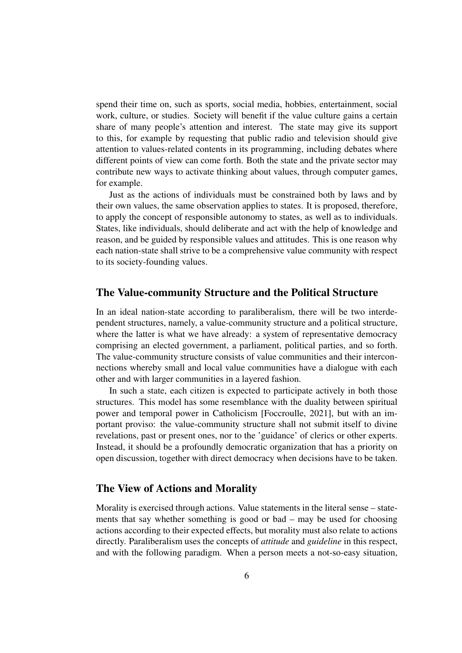spend their time on, such as sports, social media, hobbies, entertainment, social work, culture, or studies. Society will benefit if the value culture gains a certain share of many people's attention and interest. The state may give its support to this, for example by requesting that public radio and television should give attention to values-related contents in its programming, including debates where different points of view can come forth. Both the state and the private sector may contribute new ways to activate thinking about values, through computer games, for example.

Just as the actions of individuals must be constrained both by laws and by their own values, the same observation applies to states. It is proposed, therefore, to apply the concept of responsible autonomy to states, as well as to individuals. States, like individuals, should deliberate and act with the help of knowledge and reason, and be guided by responsible values and attitudes. This is one reason why each nation-state shall strive to be a comprehensive value community with respect to its society-founding values.

## The Value-community Structure and the Political Structure

In an ideal nation-state according to paraliberalism, there will be two interdependent structures, namely, a value-community structure and a political structure, where the latter is what we have already: a system of representative democracy comprising an elected government, a parliament, political parties, and so forth. The value-community structure consists of value communities and their interconnections whereby small and local value communities have a dialogue with each other and with larger communities in a layered fashion.

In such a state, each citizen is expected to participate actively in both those structures. This model has some resemblance with the duality between spiritual power and temporal power in Catholicism [Foccroulle, 2021], but with an important proviso: the value-community structure shall not submit itself to divine revelations, past or present ones, nor to the 'guidance' of clerics or other experts. Instead, it should be a profoundly democratic organization that has a priority on open discussion, together with direct democracy when decisions have to be taken.

#### The View of Actions and Morality

Morality is exercised through actions. Value statements in the literal sense – statements that say whether something is good or bad – may be used for choosing actions according to their expected effects, but morality must also relate to actions directly. Paraliberalism uses the concepts of *attitude* and *guideline* in this respect, and with the following paradigm. When a person meets a not-so-easy situation,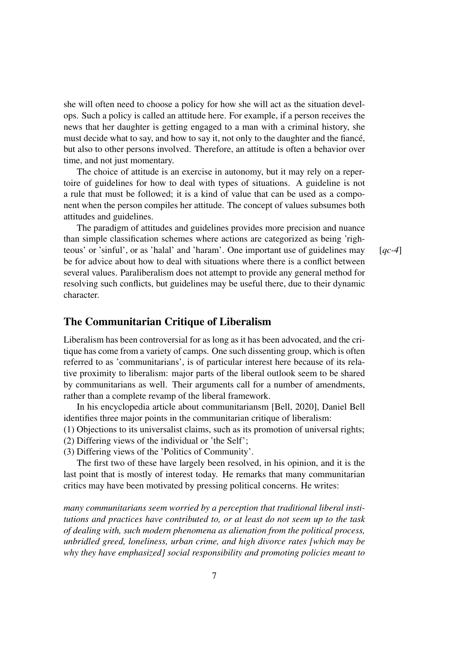she will often need to choose a policy for how she will act as the situation develops. Such a policy is called an attitude here. For example, if a person receives the news that her daughter is getting engaged to a man with a criminal history, she must decide what to say, and how to say it, not only to the daughter and the fiancé, but also to other persons involved. Therefore, an attitude is often a behavior over time, and not just momentary.

The choice of attitude is an exercise in autonomy, but it may rely on a repertoire of guidelines for how to deal with types of situations. A guideline is not a rule that must be followed; it is a kind of value that can be used as a component when the person compiles her attitude. The concept of values subsumes both attitudes and guidelines.

The paradigm of attitudes and guidelines provides more precision and nuance than simple classification schemes where actions are categorized as being 'righteous' or 'sinful', or as 'halal' and 'haram'. One important use of guidelines may [*qc-4*] be for advice about how to deal with situations where there is a conflict between several values. Paraliberalism does not attempt to provide any general method for resolving such conflicts, but guidelines may be useful there, due to their dynamic character.

#### The Communitarian Critique of Liberalism

Liberalism has been controversial for as long as it has been advocated, and the critique has come from a variety of camps. One such dissenting group, which is often referred to as 'communitarians', is of particular interest here because of its relative proximity to liberalism: major parts of the liberal outlook seem to be shared by communitarians as well. Their arguments call for a number of amendments, rather than a complete revamp of the liberal framework.

In his encyclopedia article about communitariansm [Bell, 2020], Daniel Bell identifies three major points in the communitarian critique of liberalism:

- (1) Objections to its universalist claims, such as its promotion of universal rights;
- (2) Differing views of the individual or 'the Self';
- (3) Differing views of the 'Politics of Community'.

The first two of these have largely been resolved, in his opinion, and it is the last point that is mostly of interest today. He remarks that many communitarian critics may have been motivated by pressing political concerns. He writes:

*many communitarians seem worried by a perception that traditional liberal institutions and practices have contributed to, or at least do not seem up to the task of dealing with, such modern phenomena as alienation from the political process, unbridled greed, loneliness, urban crime, and high divorce rates [which may be why they have emphasized] social responsibility and promoting policies meant to*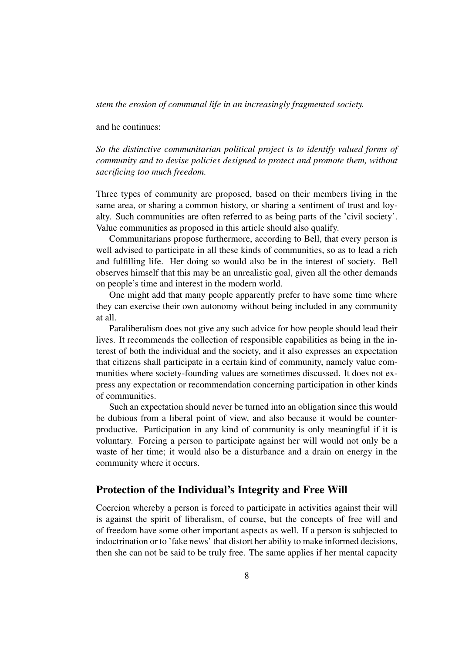*stem the erosion of communal life in an increasingly fragmented society.*

and he continues:

*So the distinctive communitarian political project is to identify valued forms of community and to devise policies designed to protect and promote them, without sacrificing too much freedom.*

Three types of community are proposed, based on their members living in the same area, or sharing a common history, or sharing a sentiment of trust and loyalty. Such communities are often referred to as being parts of the 'civil society'. Value communities as proposed in this article should also qualify.

Communitarians propose furthermore, according to Bell, that every person is well advised to participate in all these kinds of communities, so as to lead a rich and fulfilling life. Her doing so would also be in the interest of society. Bell observes himself that this may be an unrealistic goal, given all the other demands on people's time and interest in the modern world.

One might add that many people apparently prefer to have some time where they can exercise their own autonomy without being included in any community at all.

Paraliberalism does not give any such advice for how people should lead their lives. It recommends the collection of responsible capabilities as being in the interest of both the individual and the society, and it also expresses an expectation that citizens shall participate in a certain kind of community, namely value communities where society-founding values are sometimes discussed. It does not express any expectation or recommendation concerning participation in other kinds of communities.

Such an expectation should never be turned into an obligation since this would be dubious from a liberal point of view, and also because it would be counterproductive. Participation in any kind of community is only meaningful if it is voluntary. Forcing a person to participate against her will would not only be a waste of her time; it would also be a disturbance and a drain on energy in the community where it occurs.

#### Protection of the Individual's Integrity and Free Will

Coercion whereby a person is forced to participate in activities against their will is against the spirit of liberalism, of course, but the concepts of free will and of freedom have some other important aspects as well. If a person is subjected to indoctrination or to 'fake news' that distort her ability to make informed decisions, then she can not be said to be truly free. The same applies if her mental capacity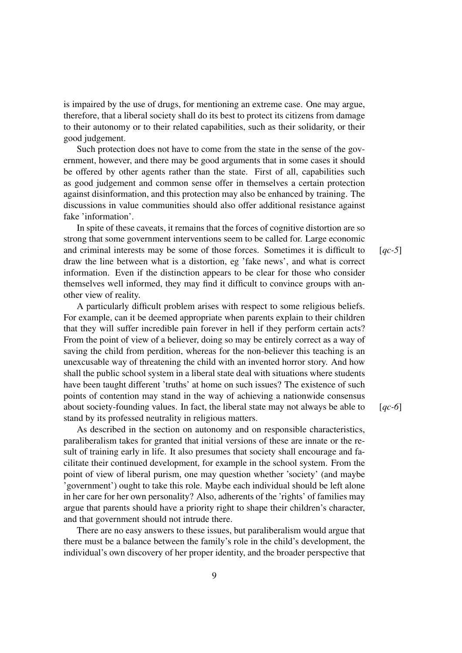is impaired by the use of drugs, for mentioning an extreme case. One may argue, therefore, that a liberal society shall do its best to protect its citizens from damage to their autonomy or to their related capabilities, such as their solidarity, or their good judgement.

Such protection does not have to come from the state in the sense of the government, however, and there may be good arguments that in some cases it should be offered by other agents rather than the state. First of all, capabilities such as good judgement and common sense offer in themselves a certain protection against disinformation, and this protection may also be enhanced by training. The discussions in value communities should also offer additional resistance against fake 'information'.

In spite of these caveats, it remains that the forces of cognitive distortion are so strong that some government interventions seem to be called for. Large economic and criminal interests may be some of those forces. Sometimes it is difficult to [*qc-5*] draw the line between what is a distortion, eg 'fake news', and what is correct information. Even if the distinction appears to be clear for those who consider themselves well informed, they may find it difficult to convince groups with another view of reality.

A particularly difficult problem arises with respect to some religious beliefs. For example, can it be deemed appropriate when parents explain to their children that they will suffer incredible pain forever in hell if they perform certain acts? From the point of view of a believer, doing so may be entirely correct as a way of saving the child from perdition, whereas for the non-believer this teaching is an unexcusable way of threatening the child with an invented horror story. And how shall the public school system in a liberal state deal with situations where students have been taught different 'truths' at home on such issues? The existence of such points of contention may stand in the way of achieving a nationwide consensus about society-founding values. In fact, the liberal state may not always be able to [*qc-6*] stand by its professed neutrality in religious matters.

As described in the section on autonomy and on responsible characteristics, paraliberalism takes for granted that initial versions of these are innate or the result of training early in life. It also presumes that society shall encourage and facilitate their continued development, for example in the school system. From the point of view of liberal purism, one may question whether 'society' (and maybe 'government') ought to take this role. Maybe each individual should be left alone in her care for her own personality? Also, adherents of the 'rights' of families may argue that parents should have a priority right to shape their children's character, and that government should not intrude there.

There are no easy answers to these issues, but paraliberalism would argue that there must be a balance between the family's role in the child's development, the individual's own discovery of her proper identity, and the broader perspective that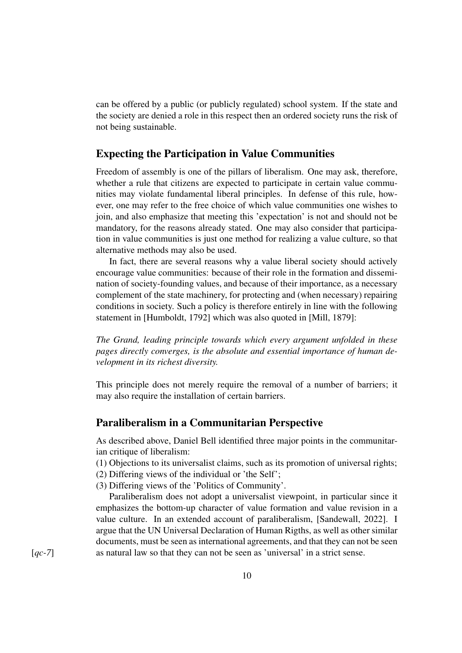can be offered by a public (or publicly regulated) school system. If the state and the society are denied a role in this respect then an ordered society runs the risk of not being sustainable.

## Expecting the Participation in Value Communities

Freedom of assembly is one of the pillars of liberalism. One may ask, therefore, whether a rule that citizens are expected to participate in certain value communities may violate fundamental liberal principles. In defense of this rule, however, one may refer to the free choice of which value communities one wishes to join, and also emphasize that meeting this 'expectation' is not and should not be mandatory, for the reasons already stated. One may also consider that participation in value communities is just one method for realizing a value culture, so that alternative methods may also be used.

In fact, there are several reasons why a value liberal society should actively encourage value communities: because of their role in the formation and dissemination of society-founding values, and because of their importance, as a necessary complement of the state machinery, for protecting and (when necessary) repairing conditions in society. Such a policy is therefore entirely in line with the following statement in [Humboldt, 1792] which was also quoted in [Mill, 1879]:

*The Grand, leading principle towards which every argument unfolded in these pages directly converges, is the absolute and essential importance of human development in its richest diversity.*

This principle does not merely require the removal of a number of barriers; it may also require the installation of certain barriers.

#### Paraliberalism in a Communitarian Perspective

As described above, Daniel Bell identified three major points in the communitarian critique of liberalism:

(1) Objections to its universalist claims, such as its promotion of universal rights; (2) Differing views of the individual or 'the Self';

- 
- (3) Differing views of the 'Politics of Community'.

Paraliberalism does not adopt a universalist viewpoint, in particular since it emphasizes the bottom-up character of value formation and value revision in a value culture. In an extended account of paraliberalism, [Sandewall, 2022]. I argue that the UN Universal Declaration of Human Rigths, as well as other similar documents, must be seen as international agreements, and that they can not be seen [*qc*-7] as natural law so that they can not be seen as 'universal' in a strict sense.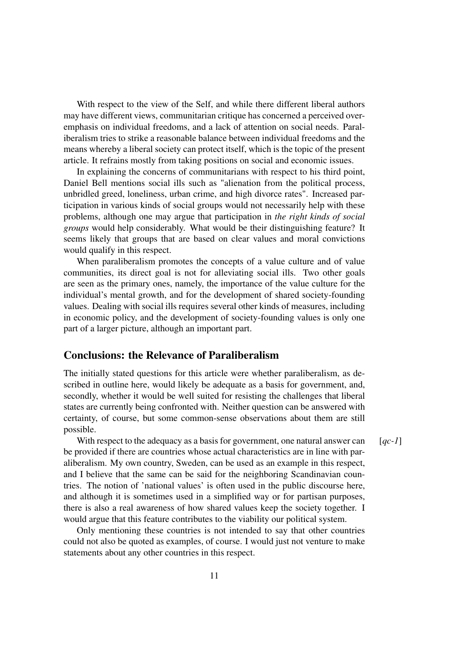With respect to the view of the Self, and while there different liberal authors may have different views, communitarian critique has concerned a perceived overemphasis on individual freedoms, and a lack of attention on social needs. Paraliberalism tries to strike a reasonable balance between individual freedoms and the means whereby a liberal society can protect itself, which is the topic of the present article. It refrains mostly from taking positions on social and economic issues.

In explaining the concerns of communitarians with respect to his third point, Daniel Bell mentions social ills such as "alienation from the political process, unbridled greed, loneliness, urban crime, and high divorce rates". Increased participation in various kinds of social groups would not necessarily help with these problems, although one may argue that participation in *the right kinds of social groups* would help considerably. What would be their distinguishing feature? It seems likely that groups that are based on clear values and moral convictions would qualify in this respect.

When paraliberalism promotes the concepts of a value culture and of value communities, its direct goal is not for alleviating social ills. Two other goals are seen as the primary ones, namely, the importance of the value culture for the individual's mental growth, and for the development of shared society-founding values. Dealing with social ills requires several other kinds of measures, including in economic policy, and the development of society-founding values is only one part of a larger picture, although an important part.

## Conclusions: the Relevance of Paraliberalism

The initially stated questions for this article were whether paraliberalism, as described in outline here, would likely be adequate as a basis for government, and, secondly, whether it would be well suited for resisting the challenges that liberal states are currently being confronted with. Neither question can be answered with certainty, of course, but some common-sense observations about them are still possible.

With respect to the adequacy as a basis for government, one natural answer can [*qc-1*] be provided if there are countries whose actual characteristics are in line with paraliberalism. My own country, Sweden, can be used as an example in this respect, and I believe that the same can be said for the neighboring Scandinavian countries. The notion of 'national values' is often used in the public discourse here, and although it is sometimes used in a simplified way or for partisan purposes, there is also a real awareness of how shared values keep the society together. I would argue that this feature contributes to the viability our political system.

Only mentioning these countries is not intended to say that other countries could not also be quoted as examples, of course. I would just not venture to make statements about any other countries in this respect.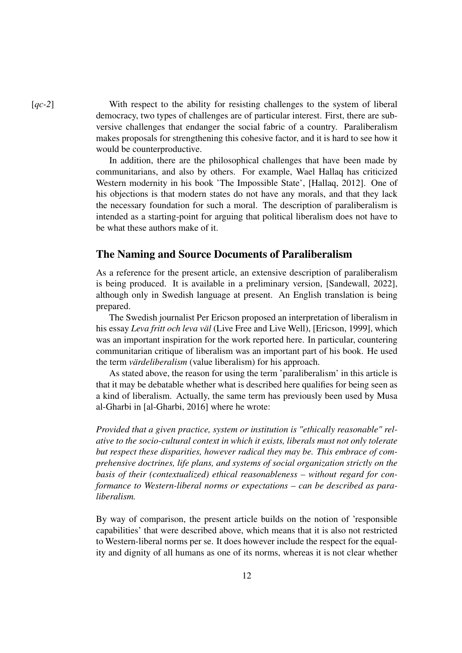[*qc-2*] With respect to the ability for resisting challenges to the system of liberal democracy, two types of challenges are of particular interest. First, there are subversive challenges that endanger the social fabric of a country. Paraliberalism makes proposals for strengthening this cohesive factor, and it is hard to see how it would be counterproductive.

> In addition, there are the philosophical challenges that have been made by communitarians, and also by others. For example, Wael Hallaq has criticized Western modernity in his book 'The Impossible State', [Hallaq, 2012]. One of his objections is that modern states do not have any morals, and that they lack the necessary foundation for such a moral. The description of paraliberalism is intended as a starting-point for arguing that political liberalism does not have to be what these authors make of it.

#### The Naming and Source Documents of Paraliberalism

As a reference for the present article, an extensive description of paraliberalism is being produced. It is available in a preliminary version, [Sandewall, 2022], although only in Swedish language at present. An English translation is being prepared.

The Swedish journalist Per Ericson proposed an interpretation of liberalism in his essay *Leva fritt och leva väl* (Live Free and Live Well), [Ericson, 1999], which was an important inspiration for the work reported here. In particular, countering communitarian critique of liberalism was an important part of his book. He used the term *värdeliberalism* (value liberalism) for his approach.

As stated above, the reason for using the term 'paraliberalism' in this article is that it may be debatable whether what is described here qualifies for being seen as a kind of liberalism. Actually, the same term has previously been used by Musa al-Gharbi in [al-Gharbi, 2016] where he wrote:

*Provided that a given practice, system or institution is "ethically reasonable" relative to the socio-cultural context in which it exists, liberals must not only tolerate but respect these disparities, however radical they may be. This embrace of comprehensive doctrines, life plans, and systems of social organization strictly on the basis of their (contextualized) ethical reasonableness – without regard for conformance to Western-liberal norms or expectations – can be described as paraliberalism.*

By way of comparison, the present article builds on the notion of 'responsible capabilities' that were described above, which means that it is also not restricted to Western-liberal norms per se. It does however include the respect for the equality and dignity of all humans as one of its norms, whereas it is not clear whether

12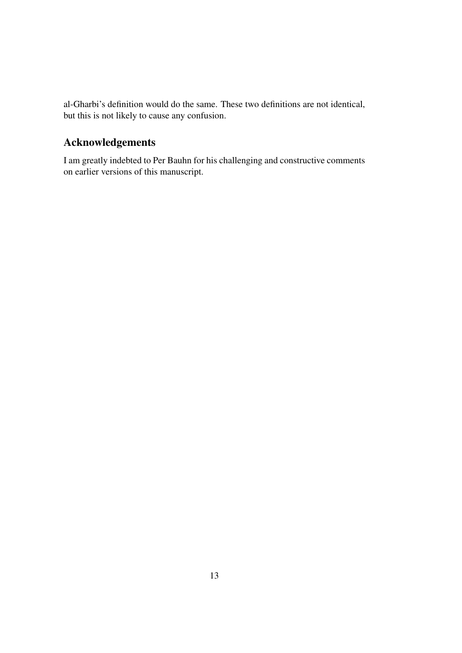al-Gharbi's definition would do the same. These two definitions are not identical, but this is not likely to cause any confusion.

# Acknowledgements

I am greatly indebted to Per Bauhn for his challenging and constructive comments on earlier versions of this manuscript.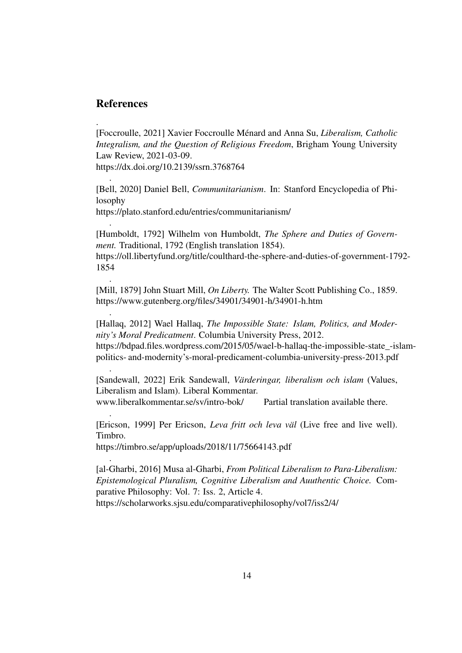## References

.

.

.

.

.

.

.

[Foccroulle, 2021] Xavier Foccroulle Ménard and Anna Su, *Liberalism, Catholic Integralism, and the Question of Religious Freedom*, Brigham Young University Law Review, 2021-03-09.

https://dx.doi.org/10.2139/ssrn.3768764

[Bell, 2020] Daniel Bell, *Communitarianism*. In: Stanford Encyclopedia of Philosophy

https://plato.stanford.edu/entries/communitarianism/

[Humboldt, 1792] Wilhelm von Humboldt, *The Sphere and Duties of Government.* Traditional, 1792 (English translation 1854).

https://oll.libertyfund.org/title/coulthard-the-sphere-and-duties-of-government-1792- 1854

[Mill, 1879] John Stuart Mill, *On Liberty.* The Walter Scott Publishing Co., 1859. https://www.gutenberg.org/files/34901/34901-h/34901-h.htm

[Hallaq, 2012] Wael Hallaq, *The Impossible State: Islam, Politics, and Modernity's Moral Predicatment*. Columbia University Press, 2012. https://bdpad.files.wordpress.com/2015/05/wael-b-hallaq-the-impossible-state\_-islampolitics- and-modernity's-moral-predicament-columbia-university-press-2013.pdf

[Sandewall, 2022] Erik Sandewall, *Värderingar, liberalism och islam* (Values, Liberalism and Islam). Liberal Kommentar. www.liberalkommentar.se/sv/intro-bok/ Partial translation available there.

.

[Ericson, 1999] Per Ericson, *Leva fritt och leva väl* (Live free and live well). Timbro.

https://timbro.se/app/uploads/2018/11/75664143.pdf

[al-Gharbi, 2016] Musa al-Gharbi, *From Political Liberalism to Para-Liberalism: Epistemological Pluralism, Cognitive Liberalism and Auuthentic Choice.* Comparative Philosophy: Vol. 7: Iss. 2, Article 4. https://scholarworks.sjsu.edu/comparativephilosophy/vol7/iss2/4/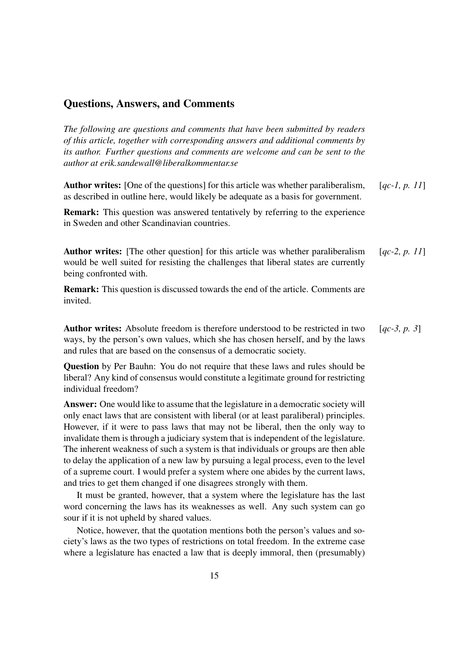#### Questions, Answers, and Comments

*The following are questions and comments that have been submitted by readers of this article, together with corresponding answers and additional comments by its author. Further questions and comments are welcome and can be sent to the author at erik.sandewall@liberalkommentar.se*

Author writes: [One of the questions] for this article was whether paraliberalism, [*qc-1, p. 11*] as described in outline here, would likely be adequate as a basis for government.

Remark: This question was answered tentatively by referring to the experience in Sweden and other Scandinavian countries.

Author writes: [The other question] for this article was whether paraliberalism [*qc-2, p. 11*] would be well suited for resisting the challenges that liberal states are currently being confronted with.

Remark: This question is discussed towards the end of the article. Comments are invited.

Author writes: Absolute freedom is therefore understood to be restricted in two [*qc-3, p. 3*] ways, by the person's own values, which she has chosen herself, and by the laws and rules that are based on the consensus of a democratic society.

Question by Per Bauhn: You do not require that these laws and rules should be liberal? Any kind of consensus would constitute a legitimate ground for restricting individual freedom?

Answer: One would like to assume that the legislature in a democratic society will only enact laws that are consistent with liberal (or at least paraliberal) principles. However, if it were to pass laws that may not be liberal, then the only way to invalidate them is through a judiciary system that is independent of the legislature. The inherent weakness of such a system is that individuals or groups are then able to delay the application of a new law by pursuing a legal process, even to the level of a supreme court. I would prefer a system where one abides by the current laws, and tries to get them changed if one disagrees strongly with them.

It must be granted, however, that a system where the legislature has the last word concerning the laws has its weaknesses as well. Any such system can go sour if it is not upheld by shared values.

Notice, however, that the quotation mentions both the person's values and society's laws as the two types of restrictions on total freedom. In the extreme case where a legislature has enacted a law that is deeply immoral, then (presumably)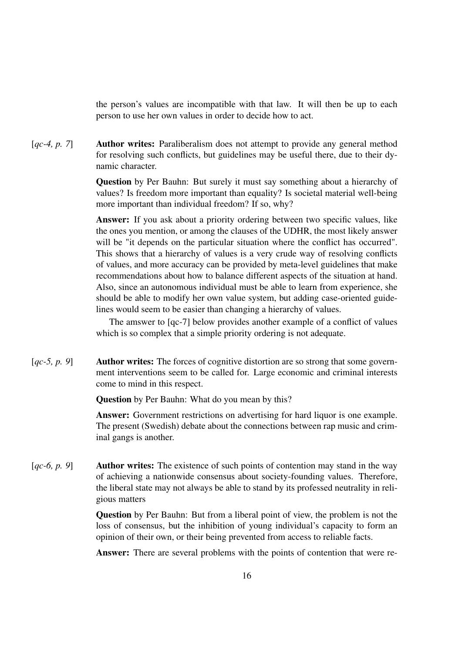the person's values are incompatible with that law. It will then be up to each person to use her own values in order to decide how to act.

[*qc-4, p. 7*] **Author writes:** Paraliberalism does not attempt to provide any general method for resolving such conflicts, but guidelines may be useful there, due to their dynamic character.

> Question by Per Bauhn: But surely it must say something about a hierarchy of values? Is freedom more important than equality? Is societal material well-being more important than individual freedom? If so, why?

> Answer: If you ask about a priority ordering between two specific values, like the ones you mention, or among the clauses of the UDHR, the most likely answer will be "it depends on the particular situation where the conflict has occurred". This shows that a hierarchy of values is a very crude way of resolving conflicts of values, and more accuracy can be provided by meta-level guidelines that make recommendations about how to balance different aspects of the situation at hand. Also, since an autonomous individual must be able to learn from experience, she should be able to modify her own value system, but adding case-oriented guidelines would seem to be easier than changing a hierarchy of values.

> The amswer to [qc-7] below provides another example of a conflict of values which is so complex that a simple priority ordering is not adequate.

[*qc-5, p. 9*] Author writes: The forces of cognitive distortion are so strong that some government interventions seem to be called for. Large economic and criminal interests come to mind in this respect.

Question by Per Bauhn: What do you mean by this?

Answer: Government restrictions on advertising for hard liquor is one example. The present (Swedish) debate about the connections between rap music and criminal gangs is another.

[*qc-6, p. 9*] Author writes: The existence of such points of contention may stand in the way of achieving a nationwide consensus about society-founding values. Therefore, the liberal state may not always be able to stand by its professed neutrality in religious matters

> Question by Per Bauhn: But from a liberal point of view, the problem is not the loss of consensus, but the inhibition of young individual's capacity to form an opinion of their own, or their being prevented from access to reliable facts.

> Answer: There are several problems with the points of contention that were re-